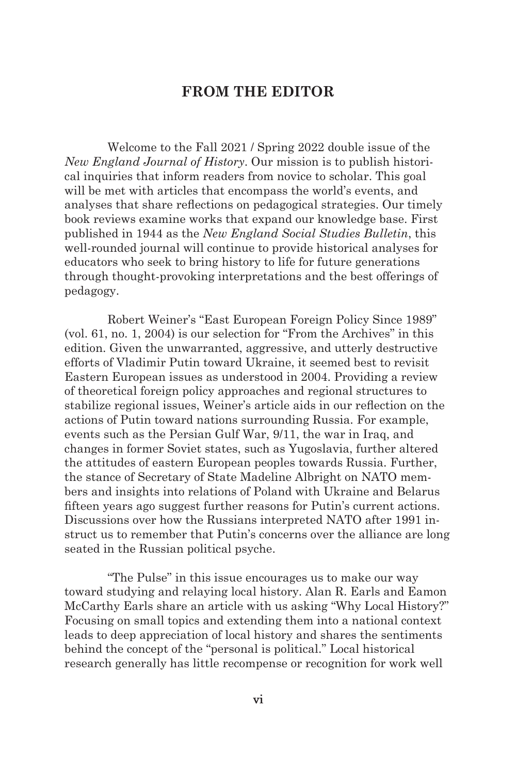## **FROM THE EDITOR**

Welcome to the Fall 2021 / Spring 2022 double issue of the *New England Journal of History*. Our mission is to publish historical inquiries that inform readers from novice to scholar. This goal will be met with articles that encompass the world's events, and analyses that share reflections on pedagogical strategies. Our timely book reviews examine works that expand our knowledge base. First published in 1944 as the *New England Social Studies Bulletin*, this well-rounded journal will continue to provide historical analyses for educators who seek to bring history to life for future generations through thought-provoking interpretations and the best offerings of pedagogy.

Robert Weiner's "East European Foreign Policy Since 1989" (vol. 61, no. 1, 2004) is our selection for "From the Archives" in this edition. Given the unwarranted, aggressive, and utterly destructive efforts of Vladimir Putin toward Ukraine, it seemed best to revisit Eastern European issues as understood in 2004. Providing a review of theoretical foreign policy approaches and regional structures to stabilize regional issues, Weiner's article aids in our reflection on the actions of Putin toward nations surrounding Russia. For example, events such as the Persian Gulf War, 9/11, the war in Iraq, and changes in former Soviet states, such as Yugoslavia, further altered the attitudes of eastern European peoples towards Russia. Further, the stance of Secretary of State Madeline Albright on NATO members and insights into relations of Poland with Ukraine and Belarus fifteen years ago suggest further reasons for Putin's current actions. Discussions over how the Russians interpreted NATO after 1991 instruct us to remember that Putin's concerns over the alliance are long seated in the Russian political psyche.

"The Pulse" in this issue encourages us to make our way toward studying and relaying local history. Alan R. Earls and Eamon McCarthy Earls share an article with us asking "Why Local History?" Focusing on small topics and extending them into a national context leads to deep appreciation of local history and shares the sentiments behind the concept of the "personal is political." Local historical research generally has little recompense or recognition for work well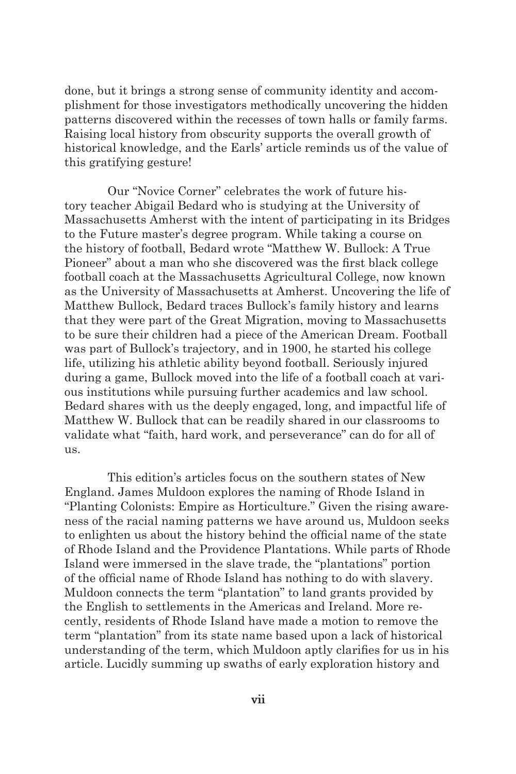done, but it brings a strong sense of community identity and accomplishment for those investigators methodically uncovering the hidden patterns discovered within the recesses of town halls or family farms. Raising local history from obscurity supports the overall growth of historical knowledge, and the Earls' article reminds us of the value of this gratifying gesture!

Our "Novice Corner" celebrates the work of future history teacher Abigail Bedard who is studying at the University of Massachusetts Amherst with the intent of participating in its Bridges to the Future master's degree program. While taking a course on the history of football, Bedard wrote "Matthew W. Bullock: A True Pioneer" about a man who she discovered was the first black college football coach at the Massachusetts Agricultural College, now known as the University of Massachusetts at Amherst. Uncovering the life of Matthew Bullock, Bedard traces Bullock's family history and learns that they were part of the Great Migration, moving to Massachusetts to be sure their children had a piece of the American Dream. Football was part of Bullock's trajectory, and in 1900, he started his college life, utilizing his athletic ability beyond football. Seriously injured during a game, Bullock moved into the life of a football coach at various institutions while pursuing further academics and law school. Bedard shares with us the deeply engaged, long, and impactful life of Matthew W. Bullock that can be readily shared in our classrooms to validate what "faith, hard work, and perseverance" can do for all of us.

This edition's articles focus on the southern states of New England. James Muldoon explores the naming of Rhode Island in "Planting Colonists: Empire as Horticulture." Given the rising awareness of the racial naming patterns we have around us, Muldoon seeks to enlighten us about the history behind the official name of the state of Rhode Island and the Providence Plantations. While parts of Rhode Island were immersed in the slave trade, the "plantations" portion of the official name of Rhode Island has nothing to do with slavery. Muldoon connects the term "plantation" to land grants provided by the English to settlements in the Americas and Ireland. More recently, residents of Rhode Island have made a motion to remove the term "plantation" from its state name based upon a lack of historical understanding of the term, which Muldoon aptly clarifies for us in his article. Lucidly summing up swaths of early exploration history and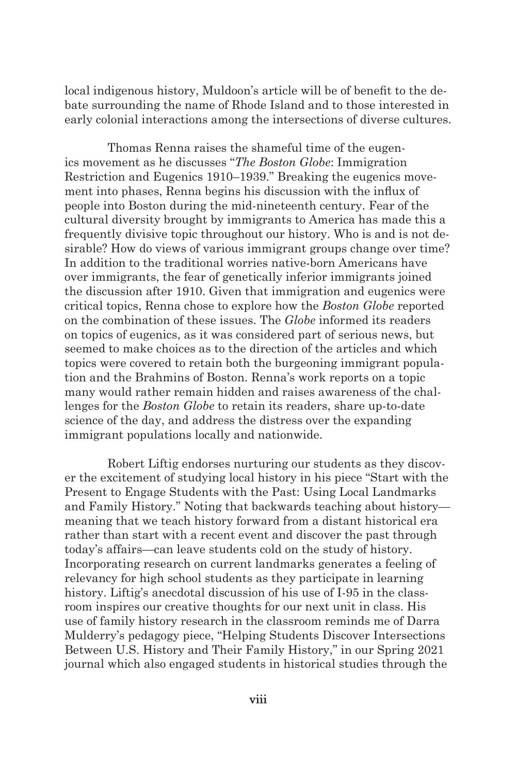local indigenous history, Muldoon's article will be of benefit to the debate surrounding the name of Rhode Island and to those interested in early colonial interactions among the intersections of diverse cultures.

Thomas Renna raises the shameful time of the eugenics movement as he discusses "*The Boston Globe*: Immigration Restriction and Eugenics 1910–1939." Breaking the eugenics movement into phases, Renna begins his discussion with the influx of people into Boston during the mid-nineteenth century. Fear of the cultural diversity brought by immigrants to America has made this a frequently divisive topic throughout our history. Who is and is not desirable? How do views of various immigrant groups change over time? In addition to the traditional worries native-born Americans have over immigrants, the fear of genetically inferior immigrants joined the discussion after 1910. Given that immigration and eugenics were critical topics, Renna chose to explore how the *Boston Globe* reported on the combination of these issues. The *Globe* informed its readers on topics of eugenics, as it was considered part of serious news, but seemed to make choices as to the direction of the articles and which topics were covered to retain both the burgeoning immigrant population and the Brahmins of Boston. Renna's work reports on a topic many would rather remain hidden and raises awareness of the challenges for the *Boston Globe* to retain its readers, share up-to-date science of the day, and address the distress over the expanding immigrant populations locally and nationwide.

Robert Liftig endorses nurturing our students as they discover the excitement of studying local history in his piece "Start with the Present to Engage Students with the Past: Using Local Landmarks and Family History." Noting that backwards teaching about history meaning that we teach history forward from a distant historical era rather than start with a recent event and discover the past through today's affairs—can leave students cold on the study of history. Incorporating research on current landmarks generates a feeling of relevancy for high school students as they participate in learning history. Liftig's anecdotal discussion of his use of I-95 in the classroom inspires our creative thoughts for our next unit in class. His use of family history research in the classroom reminds me of Darra Mulderry's pedagogy piece, "Helping Students Discover Intersections Between U.S. History and Their Family History," in our Spring 2021 journal which also engaged students in historical studies through the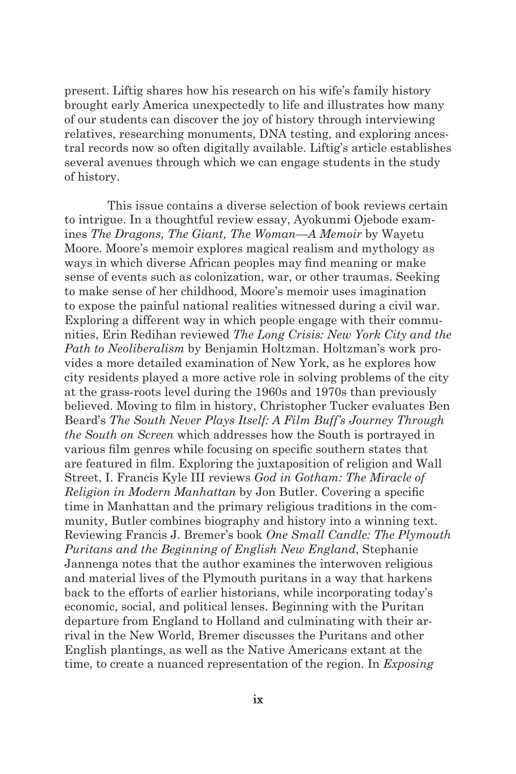present. Liftig shares how his research on his wife's family history brought early America unexpectedly to life and illustrates how many of our students can discover the joy of history through interviewing relatives, researching monuments, DNA testing, and exploring ancestral records now so often digitally available. Liftig's article establishes several avenues through which we can engage students in the study of history.

This issue contains a diverse selection of book reviews certain to intrigue. In a thoughtful review essay, Ayokunmi Ojebode examines *The Dragons, The Giant, The Woman—A Memoir* by Wayetu Moore. Moore's memoir explores magical realism and mythology as ways in which diverse African peoples may find meaning or make sense of events such as colonization, war, or other traumas. Seeking to make sense of her childhood, Moore's memoir uses imagination to expose the painful national realities witnessed during a civil war. Exploring a different way in which people engage with their communities, Erin Redihan reviewed *The Long Crisis: New York City and the Path to Neoliberalism* by Benjamin Holtzman. Holtzman's work provides a more detailed examination of New York, as he explores how city residents played a more active role in solving problems of the city at the grass-roots level during the 1960s and 1970s than previously believed. Moving to film in history, Christopher Tucker evaluates Ben Beard's *The South Never Plays Itself: A Film Buff's Journey Through the South on Screen* which addresses how the South is portrayed in various film genres while focusing on specific southern states that are featured in film. Exploring the juxtaposition of religion and Wall Street, I. Francis Kyle III reviews *God in Gotham: The Miracle of Religion in Modern Manhattan* by Jon Butler. Covering a specific time in Manhattan and the primary religious traditions in the community, Butler combines biography and history into a winning text. Reviewing Francis J. Bremer's book *One Small Candle: The Plymouth Puritans and the Beginning of English New England*, Stephanie Jannenga notes that the author examines the interwoven religious and material lives of the Plymouth puritans in a way that harkens back to the efforts of earlier historians, while incorporating today's economic, social, and political lenses. Beginning with the Puritan departure from England to Holland and culminating with their arrival in the New World, Bremer discusses the Puritans and other English plantings, as well as the Native Americans extant at the time, to create a nuanced representation of the region. In *Exposing*